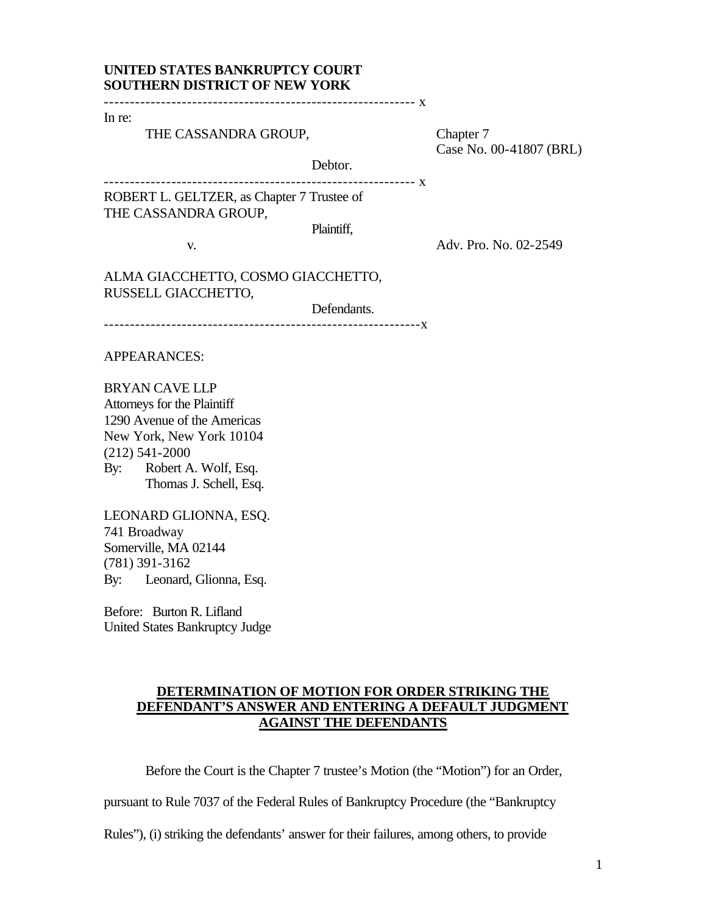# **UNITED STATES BANKRUPTCY COURT SOUTHERN DISTRICT OF NEW YORK**

In re:

THE CASSANDRA GROUP, Chapter 7

Case No. 00-41807 (BRL)

Debtor. ------------------------------------------------------------ x

ROBERT L. GELTZER, as Chapter 7 Trustee of THE CASSANDRA GROUP,

Plaintiff,

Defendants.

v. Adv. Pro. No. 02-2549

ALMA GIACCHETTO, COSMO GIACCHETTO, RUSSELL GIACCHETTO,

-------------------------------------------------------------x

APPEARANCES:

BRYAN CAVE LLP Attorneys for the Plaintiff 1290 Avenue of the Americas New York, New York 10104 (212) 541-2000 By: Robert A. Wolf, Esq. Thomas J. Schell, Esq.

LEONARD GLIONNA, ESQ. 741 Broadway Somerville, MA 02144 (781) 391-3162 By: Leonard, Glionna, Esq.

Before: Burton R. Lifland United States Bankruptcy Judge

## **DETERMINATION OF MOTION FOR ORDER STRIKING THE DEFENDANT'S ANSWER AND ENTERING A DEFAULT JUDGMENT AGAINST THE DEFENDANTS**

Before the Court is the Chapter 7 trustee's Motion (the "Motion") for an Order,

pursuant to Rule 7037 of the Federal Rules of Bankruptcy Procedure (the "Bankruptcy

Rules"), (i) striking the defendants' answer for their failures, among others, to provide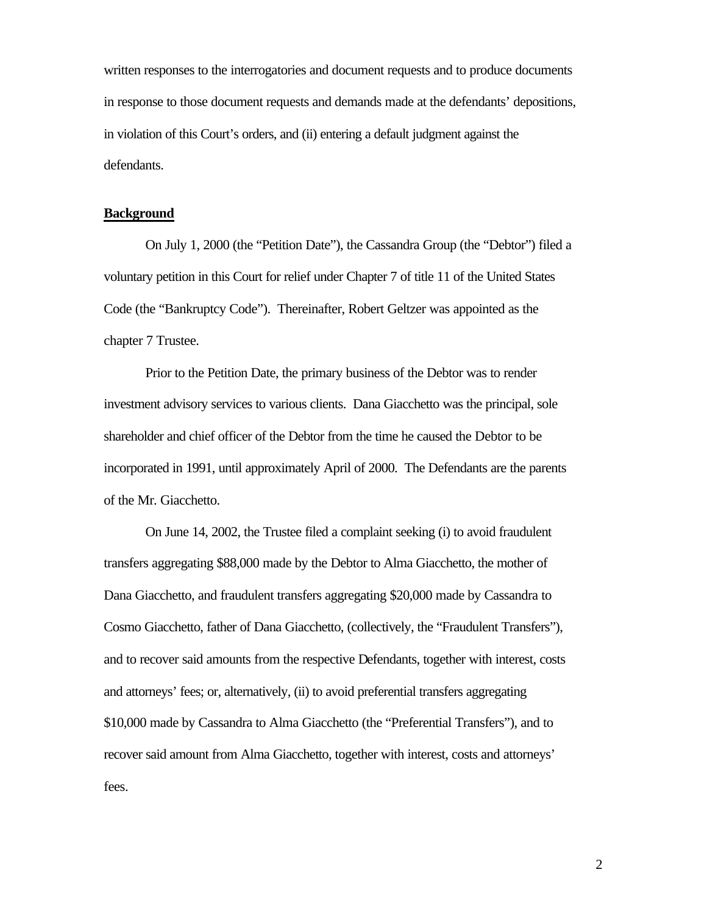written responses to the interrogatories and document requests and to produce documents in response to those document requests and demands made at the defendants' depositions, in violation of this Court's orders, and (ii) entering a default judgment against the defendants.

### **Background**

On July 1, 2000 (the "Petition Date"), the Cassandra Group (the "Debtor") filed a voluntary petition in this Court for relief under Chapter 7 of title 11 of the United States Code (the "Bankruptcy Code"). Thereinafter, Robert Geltzer was appointed as the chapter 7 Trustee.

Prior to the Petition Date, the primary business of the Debtor was to render investment advisory services to various clients. Dana Giacchetto was the principal, sole shareholder and chief officer of the Debtor from the time he caused the Debtor to be incorporated in 1991, until approximately April of 2000. The Defendants are the parents of the Mr. Giacchetto.

On June 14, 2002, the Trustee filed a complaint seeking (i) to avoid fraudulent transfers aggregating \$88,000 made by the Debtor to Alma Giacchetto, the mother of Dana Giacchetto, and fraudulent transfers aggregating \$20,000 made by Cassandra to Cosmo Giacchetto, father of Dana Giacchetto, (collectively, the "Fraudulent Transfers"), and to recover said amounts from the respective Defendants, together with interest, costs and attorneys' fees; or, alternatively, (ii) to avoid preferential transfers aggregating \$10,000 made by Cassandra to Alma Giacchetto (the "Preferential Transfers"), and to recover said amount from Alma Giacchetto, together with interest, costs and attorneys' fees.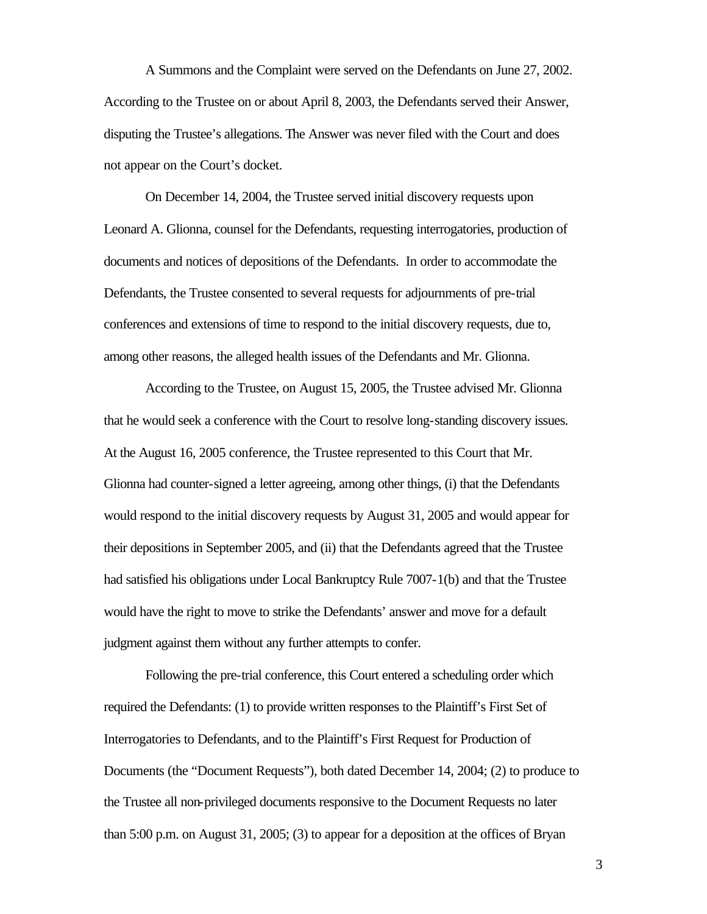A Summons and the Complaint were served on the Defendants on June 27, 2002. According to the Trustee on or about April 8, 2003, the Defendants served their Answer, disputing the Trustee's allegations. The Answer was never filed with the Court and does not appear on the Court's docket.

On December 14, 2004, the Trustee served initial discovery requests upon Leonard A. Glionna, counsel for the Defendants, requesting interrogatories, production of documents and notices of depositions of the Defendants. In order to accommodate the Defendants, the Trustee consented to several requests for adjournments of pre-trial conferences and extensions of time to respond to the initial discovery requests, due to, among other reasons, the alleged health issues of the Defendants and Mr. Glionna.

According to the Trustee, on August 15, 2005, the Trustee advised Mr. Glionna that he would seek a conference with the Court to resolve long-standing discovery issues. At the August 16, 2005 conference, the Trustee represented to this Court that Mr. Glionna had counter-signed a letter agreeing, among other things, (i) that the Defendants would respond to the initial discovery requests by August 31, 2005 and would appear for their depositions in September 2005, and (ii) that the Defendants agreed that the Trustee had satisfied his obligations under Local Bankruptcy Rule 7007-1(b) and that the Trustee would have the right to move to strike the Defendants' answer and move for a default judgment against them without any further attempts to confer.

Following the pre-trial conference, this Court entered a scheduling order which required the Defendants: (1) to provide written responses to the Plaintiff's First Set of Interrogatories to Defendants, and to the Plaintiff's First Request for Production of Documents (the "Document Requests"), both dated December 14, 2004; (2) to produce to the Trustee all non-privileged documents responsive to the Document Requests no later than 5:00 p.m. on August 31, 2005; (3) to appear for a deposition at the offices of Bryan

3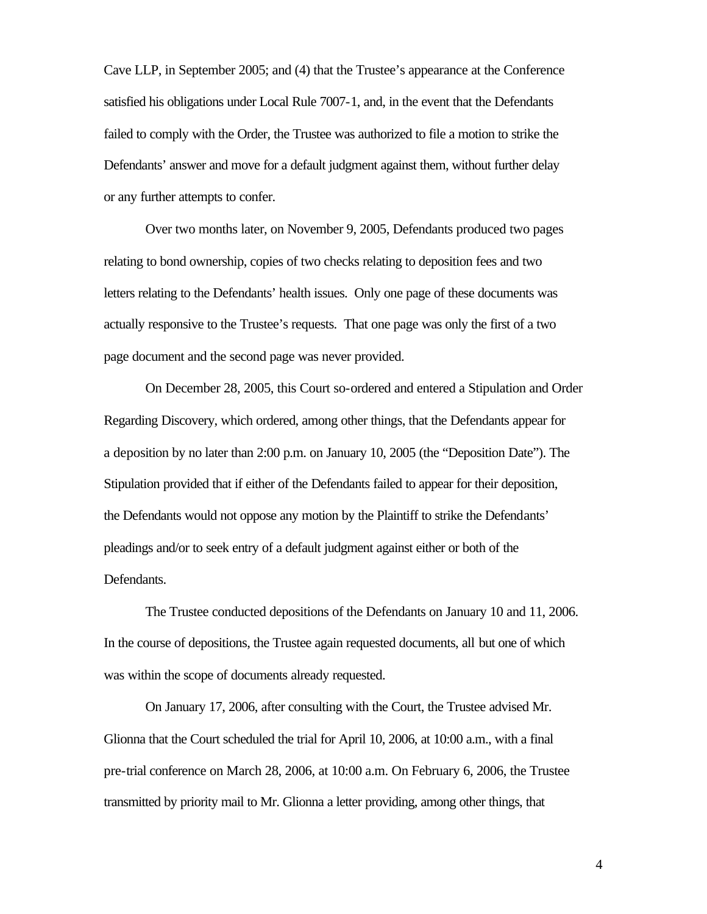Cave LLP, in September 2005; and (4) that the Trustee's appearance at the Conference satisfied his obligations under Local Rule 7007-1, and, in the event that the Defendants failed to comply with the Order, the Trustee was authorized to file a motion to strike the Defendants' answer and move for a default judgment against them, without further delay or any further attempts to confer.

Over two months later, on November 9, 2005, Defendants produced two pages relating to bond ownership, copies of two checks relating to deposition fees and two letters relating to the Defendants' health issues. Only one page of these documents was actually responsive to the Trustee's requests. That one page was only the first of a two page document and the second page was never provided.

On December 28, 2005, this Court so-ordered and entered a Stipulation and Order Regarding Discovery, which ordered, among other things, that the Defendants appear for a deposition by no later than 2:00 p.m. on January 10, 2005 (the "Deposition Date"). The Stipulation provided that if either of the Defendants failed to appear for their deposition, the Defendants would not oppose any motion by the Plaintiff to strike the Defendants' pleadings and/or to seek entry of a default judgment against either or both of the Defendants.

The Trustee conducted depositions of the Defendants on January 10 and 11, 2006. In the course of depositions, the Trustee again requested documents, all but one of which was within the scope of documents already requested.

On January 17, 2006, after consulting with the Court, the Trustee advised Mr. Glionna that the Court scheduled the trial for April 10, 2006, at 10:00 a.m., with a final pre-trial conference on March 28, 2006, at 10:00 a.m. On February 6, 2006, the Trustee transmitted by priority mail to Mr. Glionna a letter providing, among other things, that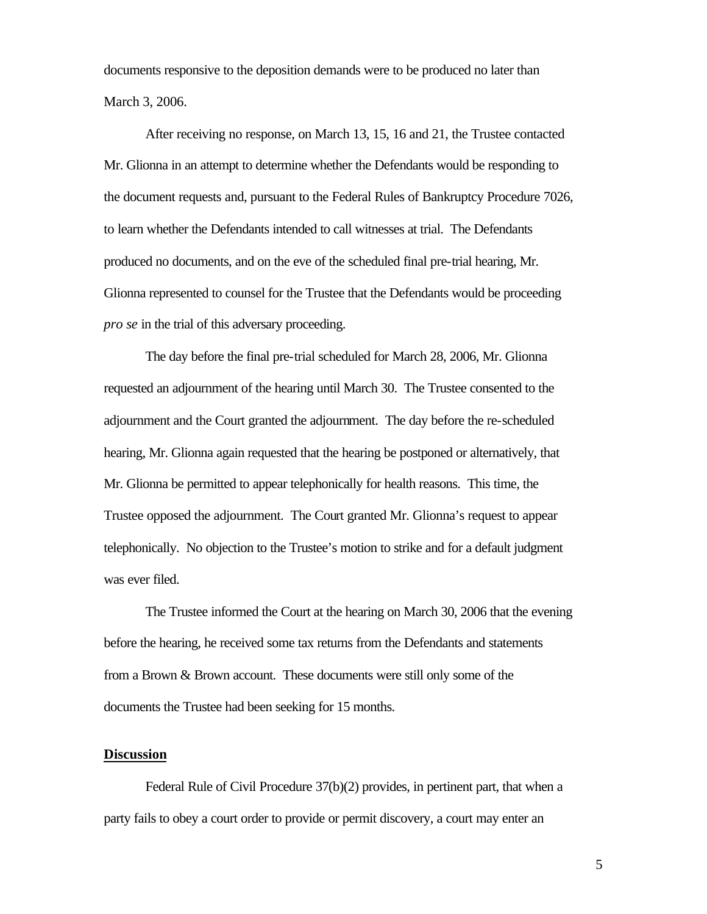documents responsive to the deposition demands were to be produced no later than March 3, 2006.

After receiving no response, on March 13, 15, 16 and 21, the Trustee contacted Mr. Glionna in an attempt to determine whether the Defendants would be responding to the document requests and, pursuant to the Federal Rules of Bankruptcy Procedure 7026, to learn whether the Defendants intended to call witnesses at trial. The Defendants produced no documents, and on the eve of the scheduled final pre-trial hearing, Mr. Glionna represented to counsel for the Trustee that the Defendants would be proceeding *pro se* in the trial of this adversary proceeding.

The day before the final pre-trial scheduled for March 28, 2006, Mr. Glionna requested an adjournment of the hearing until March 30. The Trustee consented to the adjournment and the Court granted the adjournment. The day before the re-scheduled hearing, Mr. Glionna again requested that the hearing be postponed or alternatively, that Mr. Glionna be permitted to appear telephonically for health reasons. This time, the Trustee opposed the adjournment. The Court granted Mr. Glionna's request to appear telephonically. No objection to the Trustee's motion to strike and for a default judgment was ever filed.

The Trustee informed the Court at the hearing on March 30, 2006 that the evening before the hearing, he received some tax returns from the Defendants and statements from a Brown & Brown account. These documents were still only some of the documents the Trustee had been seeking for 15 months.

#### **Discussion**

Federal Rule of Civil Procedure 37(b)(2) provides, in pertinent part, that when a party fails to obey a court order to provide or permit discovery, a court may enter an

5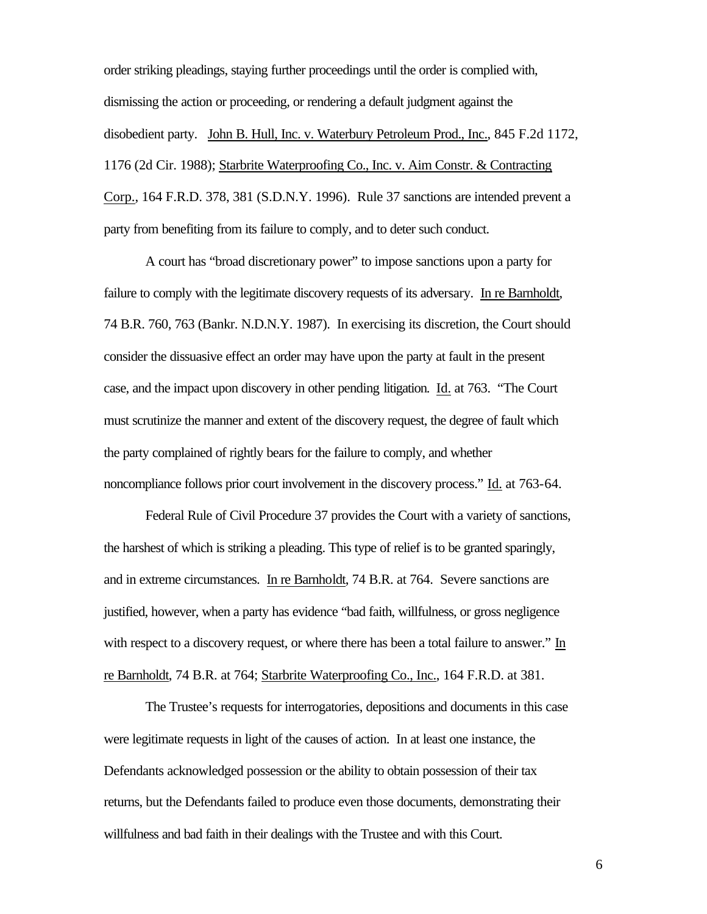order striking pleadings, staying further proceedings until the order is complied with, dismissing the action or proceeding, or rendering a default judgment against the disobedient party. John B. Hull, Inc. v. Waterbury Petroleum Prod., Inc., 845 F.2d 1172, 1176 (2d Cir. 1988); Starbrite Waterproofing Co., Inc. v. Aim Constr. & Contracting Corp., 164 F.R.D. 378, 381 (S.D.N.Y. 1996). Rule 37 sanctions are intended prevent a party from benefiting from its failure to comply, and to deter such conduct.

A court has "broad discretionary power" to impose sanctions upon a party for failure to comply with the legitimate discovery requests of its adversary. In re Barnholdt, 74 B.R. 760, 763 (Bankr. N.D.N.Y. 1987). In exercising its discretion, the Court should consider the dissuasive effect an order may have upon the party at fault in the present case, and the impact upon discovery in other pending litigation. Id. at 763. "The Court must scrutinize the manner and extent of the discovery request, the degree of fault which the party complained of rightly bears for the failure to comply, and whether noncompliance follows prior court involvement in the discovery process." Id. at 763-64.

Federal Rule of Civil Procedure 37 provides the Court with a variety of sanctions, the harshest of which is striking a pleading. This type of relief is to be granted sparingly, and in extreme circumstances. In re Barnholdt, 74 B.R. at 764. Severe sanctions are justified, however, when a party has evidence "bad faith, willfulness, or gross negligence with respect to a discovery request, or where there has been a total failure to answer." In re Barnholdt, 74 B.R. at 764; Starbrite Waterproofing Co., Inc., 164 F.R.D. at 381.

The Trustee's requests for interrogatories, depositions and documents in this case were legitimate requests in light of the causes of action. In at least one instance, the Defendants acknowledged possession or the ability to obtain possession of their tax returns, but the Defendants failed to produce even those documents, demonstrating their willfulness and bad faith in their dealings with the Trustee and with this Court.

6